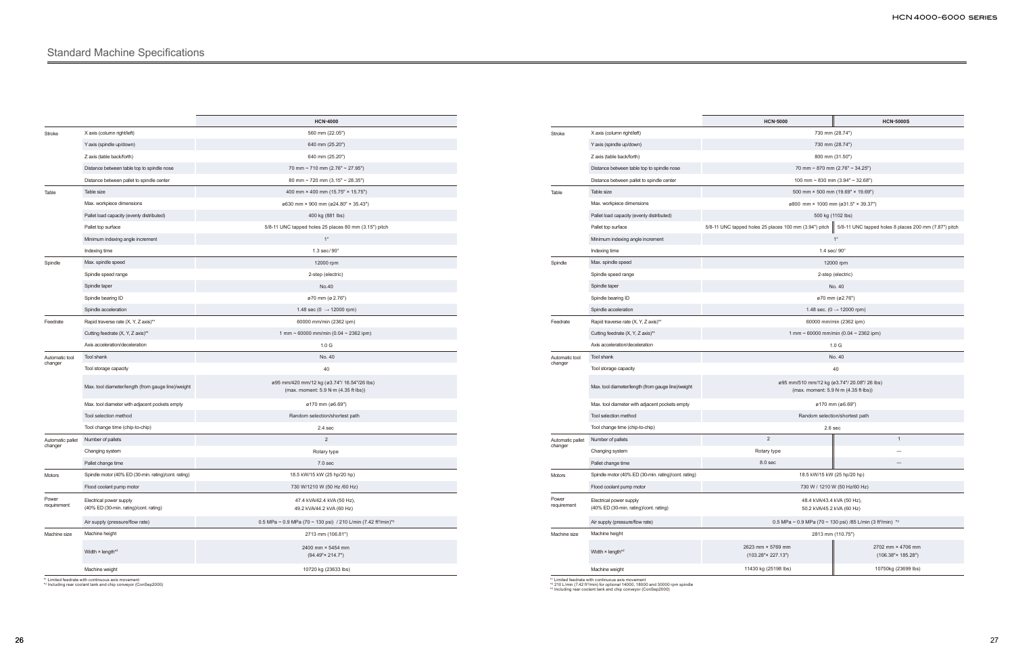|                           |                                                                   | <b>HCN-4000</b>                                                                        |  |
|---------------------------|-------------------------------------------------------------------|----------------------------------------------------------------------------------------|--|
| Stroke                    | X axis (column right/left)                                        | 560 mm (22.05")                                                                        |  |
|                           | Y axis (spindle up/down)                                          | 640 mm (25.20")                                                                        |  |
|                           | Z axis (table back/forth)                                         | 640 mm (25.20")                                                                        |  |
|                           | Distance between table top to spindle nose                        | 70 mm ~ 710 mm (2.76" ~ 27.95")                                                        |  |
|                           | Distance between pallet to spindle center                         | 80 mm ~ 720 mm (3.15" ~ 28.35")                                                        |  |
| Table                     | Table size                                                        | 400 mm × 400 mm (15.75" × 15.75")                                                      |  |
|                           | Max. workpiece dimensions                                         | ø630 mm × 900 mm (ø24.80" × 35.43")                                                    |  |
|                           | Pallet load capacity (evenly distributed)                         | 400 kg (881 lbs)                                                                       |  |
|                           | Pallet top surface                                                | 5/8-11 UNC tapped holes 25 places 80 mm (3.15") pitch                                  |  |
|                           | Minimum indexing angle increment                                  | $1^{\circ}$                                                                            |  |
|                           | Indexing time                                                     | $1.3$ sec/90 $^{\circ}$                                                                |  |
| Spindle                   | Max. spindle speed                                                | 12000 rpm                                                                              |  |
|                           | Spindle speed range                                               | 2-step (electric)                                                                      |  |
|                           | Spindle taper                                                     | No.40                                                                                  |  |
|                           | Spindle bearing ID                                                | ø70 mm (ø 2.76")                                                                       |  |
|                           | Spindle acceleration                                              | 1.48 sec (0 $\rightarrow$ 12000 rpm)                                                   |  |
| Feedrate                  | Rapid traverse rate (X, Y, Z axis)*1                              | 60000 mm/min (2362 ipm)                                                                |  |
|                           | Cutting feedrate (X, Y, Z axis)*1                                 | 1 mm ~ 60000 mm/min (0.04 ~ 2362 ipm)                                                  |  |
|                           | Axis acceleration/deceleration                                    | 1.0 <sub>G</sub>                                                                       |  |
| Automatic tool<br>changer | Tool shank                                                        | No. 40                                                                                 |  |
|                           | Tool storage capacity                                             | 40                                                                                     |  |
|                           | Max. tool diameter/length (from gauge line)/weight                | ø95 mm/420 mm/12 kg (ø3.74"/ 16.54"/26 lbs)<br>(max. moment: 5.9 N·m (4.35 ft·lbs))    |  |
|                           | Max. tool diameter with adjacent pockets empty                    | ø170 mm (ø6.69")                                                                       |  |
|                           | Tool selection method                                             | Random selection/shortest path                                                         |  |
|                           | Tool change time (chip-to-chip)                                   | $2.4$ sec                                                                              |  |
| Automatic pallet          | Number of pallets                                                 | $\overline{2}$                                                                         |  |
| changer                   | Changing system                                                   | Rotary type                                                                            |  |
|                           | Pallet change time                                                | 7.0 sec                                                                                |  |
| Motors                    | Spindle motor (40% ED (30-min. rating)/cont. rating)              | 18.5 kW/15 kW (25 hp/20 hp)                                                            |  |
|                           | Flood coolant pump motor                                          | 730 W/1210 W (50 Hz /60 Hz)                                                            |  |
| Power<br>requirement      | Electrical power supply<br>(40% ED (30-min. rating)/cont. rating) | 47.4 kVA/42.4 kVA (50 Hz),<br>49.2 kVA/44.2 kVA (60 Hz)                                |  |
|                           | Air supply (pressure/flow rate)                                   | 0.5 MPa ~ 0.9 MPa (70 ~ 130 psi) / 210 L/min (7.42 ft <sup>3</sup> /min) <sup>*2</sup> |  |
| Machine size              | Machine height                                                    | 2713 mm (106.81")                                                                      |  |
|                           | Width $\times$ length*2                                           | 2400 mm × 5454 mm<br>$(94.49" \times 214.7")$                                          |  |
|                           | Machine weight                                                    | 10720 kg (23633 lbs)                                                                   |  |
|                           | *1 Limited feedrate with continuous axis movement                 |                                                                                        |  |

\*1 Limited feedrate with continuous axis movement \*2 Including rear coolant tank and chip conveyor (ConSep2000)

|                      |                                                                   | <b>HCN-5000</b>                                                                      | <b>HCN-5000S</b>                                      |  |
|----------------------|-------------------------------------------------------------------|--------------------------------------------------------------------------------------|-------------------------------------------------------|--|
| Stroke               | X axis (column right/left)                                        |                                                                                      | 730 mm (28.74")                                       |  |
|                      | Y axis (spindle up/down)                                          | 730 mm (28.74")                                                                      |                                                       |  |
|                      | Z axis (table back/forth)                                         | 800 mm (31.50")                                                                      |                                                       |  |
|                      | Distance between table top to spindle nose                        |                                                                                      | 70 mm ~ 870 mm (2.76" ~ 34.25")                       |  |
|                      | Distance between pallet to spindle center                         | 100 mm ~ 830 mm (3.94" ~ 32.68")                                                     |                                                       |  |
| Table                | Table size                                                        | 500 mm × 500 mm (19.69" × 19.69")                                                    |                                                       |  |
|                      | Max. workpiece dimensions                                         | ø800 mm × 1000 mm (ø31.5" × 39.37")                                                  |                                                       |  |
|                      | Pallet load capacity (evenly distributed)                         | 500 kg (1102 lbs)                                                                    |                                                       |  |
|                      | Pallet top surface                                                | 5/8-11 UNC tapped holes 25 places 100 mm (3.94") pitch                               | 5/8-11 UNC tapped holes 8 places 200 mm (7.87") pitch |  |
|                      | Minimum indexing angle increment                                  | $1^{\circ}$                                                                          |                                                       |  |
|                      | Indexing time                                                     | 1.4 sec/ 90°                                                                         |                                                       |  |
| Spindle              | Max. spindle speed                                                |                                                                                      | 12000 rpm                                             |  |
|                      | Spindle speed range                                               | 2-step (electric)                                                                    |                                                       |  |
|                      | Spindle taper                                                     | No. 40                                                                               |                                                       |  |
|                      | Spindle bearing ID                                                | ø70 mm (ø2.76")                                                                      |                                                       |  |
|                      | Spindle acceleration                                              | 1.48 sec. (0 $\rightarrow$ 12000 rpm)                                                |                                                       |  |
| Feedrate             | Rapid traverse rate (X, Y, Z axis)*1                              | 60000 mm/min (2362 ipm)                                                              |                                                       |  |
|                      | Cutting feedrate (X, Y, Z axis)*1                                 | 1 mm ~ 60000 mm/min (0.04 ~ 2362 ipm)                                                |                                                       |  |
|                      | Axis acceleration/deceleration                                    | 1.0 <sub>G</sub>                                                                     |                                                       |  |
| Automatic tool       | Tool shank                                                        | No. 40                                                                               |                                                       |  |
| changer              | Tool storage capacity                                             | 40                                                                                   |                                                       |  |
|                      | Max. tool diameter/length (from gauge line)/weight                | ø95 mm/510 mm/12 kg (ø3.74"/ 20.08"/ 26 lbs)<br>(max. moment: 5.9 N·m (4.35 ft·lbs)) |                                                       |  |
|                      | Max. tool diameter with adjacent pockets empty                    | ø170 mm (ø6.69")                                                                     |                                                       |  |
|                      | Tool selection method                                             | Random selection/shortest path                                                       |                                                       |  |
|                      | Tool change time (chip-to-chip)                                   | 2.6 <sub>sec</sub>                                                                   |                                                       |  |
| Automatic pallet     | Number of pallets                                                 | $\overline{2}$                                                                       | $\mathbf{1}$                                          |  |
| changer              | Changing system                                                   | Rotary type                                                                          |                                                       |  |
|                      | Pallet change time                                                | 8.0 sec                                                                              |                                                       |  |
| Motors               | Spindle motor (40% ED (30-min. rating)/cont. rating)              | 18.5 kW/15 kW (25 hp/20 hp)                                                          |                                                       |  |
|                      | Flood coolant pump motor                                          | 730 W / 1210 W (50 Hz/60 Hz)                                                         |                                                       |  |
| Power<br>requirement | Electrical power supply<br>(40% ED (30-min. rating)/cont. rating) | 48.4 kVA/43.4 kVA (50 Hz),<br>50.2 kVA/45.2 kVA (60 Hz)                              |                                                       |  |
|                      | Air supply (pressure/flow rate)                                   | 0.5 MPa ~ 0.9 MPa (70 ~ 130 psi) /85 L/min (3 ft <sup>3</sup> /min) * <sup>2</sup>   |                                                       |  |
| Machine size         | Machine height                                                    | 2813 mm (110.75")                                                                    |                                                       |  |
|                      | Width $\times$ length*2                                           | 2623 mm × 5769 mm<br>$(103.28" \times 227.13")$                                      | 2702 mm × 4706 mm<br>$(106.38" \times 185.28")$       |  |
|                      | Machine weight                                                    | 11430 kg (25198 lbs)                                                                 | 10750kg (23699 lbs)                                   |  |

\*2 210 L/min (7.42 ft¾/min) for optional 14000, 18000 and 30000 rpm spindle<br>\*3 Including rear coolant tank and chip conveyor (ConSep2000)